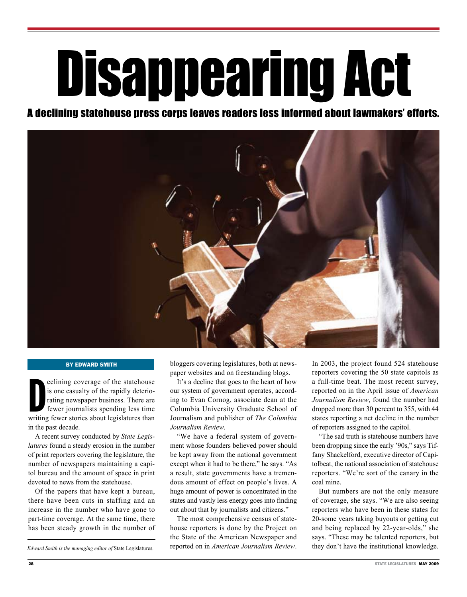# Disappearing Act

## A declining statehouse press corps leaves readers less informed about lawmakers' efforts.



#### By Edward Smith

eclining coverage of the statehouse<br>is one casualty of the rapidly deterio-<br>rating newspaper business. There are<br>fewer journalists spending less time<br>writing fewer stories about legislatures than eclining coverage of the statehouse is one casualty of the rapidly deteriorating newspaper business. There are fewer journalists spending less time in the past decade.

A recent survey conducted by *State Legislatures* found a steady erosion in the number of print reporters covering the legislature, the number of newspapers maintaining a capitol bureau and the amount of space in print devoted to news from the statehouse.

Of the papers that have kept a bureau, there have been cuts in staffing and an increase in the number who have gone to part-time coverage. At the same time, there has been steady growth in the number of

*Edward Smith is the managing editor of* State Legislatures.

bloggers covering legislatures, both at newspaper websites and on freestanding blogs.

It's a decline that goes to the heart of how our system of government operates, according to Evan Cornog, associate dean at the Columbia University Graduate School of Journalism and publisher of *The Columbia Journalism Review*.

"We have a federal system of government whose founders believed power should be kept away from the national government except when it had to be there," he says. "As a result, state governments have a tremendous amount of effect on people's lives. A huge amount of power is concentrated in the states and vastly less energy goes into finding out about that by journalists and citizens."

The most comprehensive census of statehouse reporters is done by the Project on the State of the American Newspaper and reported on in *American Journalism Review*. In 2003, the project found 524 statehouse reporters covering the 50 state capitols as a full-time beat. The most recent survey, reported on in the April issue of *American Journalism Review*, found the number had dropped more than 30 percent to 355, with 44 states reporting a net decline in the number of reporters assigned to the capitol.

"The sad truth is statehouse numbers have been dropping since the early '90s," says Tiffany Shackelford, executive director of Capitolbeat, the national association of statehouse reporters. "We're sort of the canary in the coal mine.

But numbers are not the only measure of coverage, she says. "We are also seeing reporters who have been in these states for 20-some years taking buyouts or getting cut and being replaced by 22-year-olds," she says. "These may be talented reporters, but they don't have the institutional knowledge.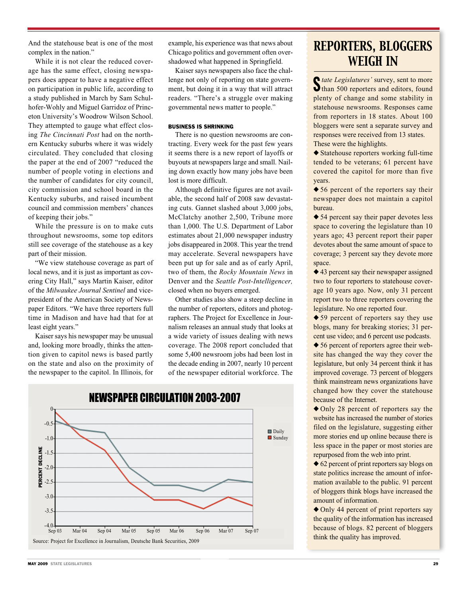And the statehouse beat is one of the most complex in the nation."

While it is not clear the reduced coverage has the same effect, closing newspapers does appear to have a negative effect on participation in public life, according to a study published in March by Sam Schulhofer-Wohly and Miguel Garridoz of Princeton University's Woodrow Wilson School. They attempted to gauge what effect closing *The Cincinnati Post* had on the northern Kentucky suburbs where it was widely circulated. They concluded that closing the paper at the end of 2007 "reduced the number of people voting in elections and the number of candidates for city council, city commission and school board in the Kentucky suburbs, and raised incumbent council and commission members' chances of keeping their jobs."

While the pressure is on to make cuts throughout newsrooms, some top editors still see coverage of the statehouse as a key part of their mission.

"We view statehouse coverage as part of local news, and it is just as important as covering City Hall," says Martin Kaiser, editor of the *Milwaukee Journal Sentinel* and vicepresident of the American Society of Newspaper Editors. "We have three reporters full time in Madison and have had that for at least eight years."

Kaiser says his newspaper may be unusual and, looking more broadly, thinks the attention given to capitol news is based partly on the state and also on the proximity of the newspaper to the capitol. In Illinois, for example, his experience was that news about Chicago politics and government often overshadowed what happened in Springfield.

Kaiser says newspapers also face the challenge not only of reporting on state government, but doing it in a way that will attract readers. "There's a struggle over making governmental news matter to people."

#### BUSINESS IS SHRINKING

There is no question newsrooms are contracting. Every week for the past few years it seems there is a new report of layoffs or buyouts at newspapers large and small. Nailing down exactly how many jobs have been lost is more difficult.

Although definitive figures are not available, the second half of 2008 saw devastating cuts. Gannet slashed about 3,000 jobs, McClatchy another 2,500, Tribune more than 1,000. The U.S. Department of Labor estimates about 21,000 newspaper industry jobs disappeared in 2008. This year the trend may accelerate. Several newspapers have been put up for sale and as of early April, two of them, the *Rocky Mountain News* in Denver and the *Seattle Post-Intelligencer,*  closed when no buyers emerged.

Other studies also show a steep decline in the number of reporters, editors and photographers. The Project for Excellence in Journalism releases an annual study that looks at a wide variety of issues dealing with news coverage. The 2008 report concluded that some 5,400 newsroom jobs had been lost in the decade ending in 2007, nearly 10 percent of the newspaper editorial workforce. The



## *Reporters, Bloggers Weigh In*

State Legislatures' survey, sent to more<br>Sthan 500 reporters and editors, found *tate Legislatures'* survey, sent to more plenty of change and some stability in statehouse newsrooms. Responses came from reporters in 18 states. About 100 bloggers were sent a separate survey and responses were received from 13 states. These were the highlights.

 $\triangle$  Statehouse reporters working full-time tended to be veterans; 61 percent have covered the capitol for more than five years.

 $\triangle$  56 percent of the reporters say their newspaper does not maintain a capitol bureau.

 $\triangle$  54 percent say their paper devotes less space to covering the legislature than 10 years ago; 43 percent report their paper devotes about the same amount of space to coverage; 3 percent say they devote more space.

 $\triangle$  43 percent say their newspaper assigned two to four reporters to statehouse coverage 10 years ago. Now, only 31 percent report two to three reporters covering the legislature. No one reported four.

 $\triangle$  59 percent of reporters say they use blogs, many for breaking stories; 31 percent use video; and 6 percent use podcasts.

 $\triangle$  56 percent of reporters agree their website has changed the way they cover the legislature, but only 34 percent think it has improved coverage. 73 percent of bloggers think mainstream news organizations have changed how they cover the statehouse because of the Internet.

 $\triangle$  Only 28 percent of reporters say the website has increased the number of stories filed on the legislature, suggesting either more stories end up online because there is less space in the paper or most stories are repurposed from the web into print.

 $\triangle$  62 percent of print reporters say blogs on state politics increase the amount of information available to the public. 91 percent of bloggers think blogs have increased the amount of information.

 $\triangle$  Only 44 percent of print reporters say the quality of the information has increased because of blogs. 82 percent of bloggers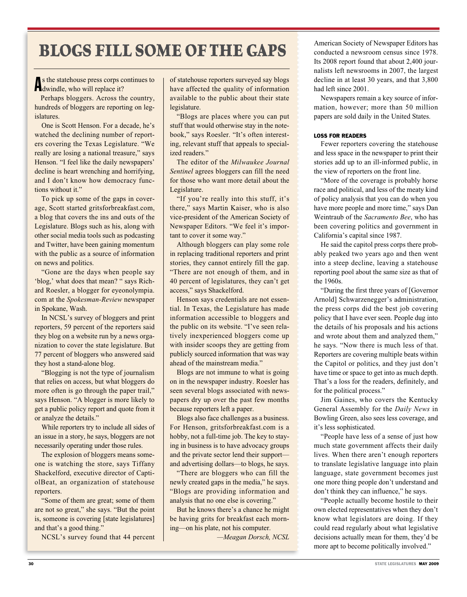## **BLOGS FILL SOME OF THE GAPS** American Society of Newspaper Editors has conducted a newsroom census since 1978.

s the statehouse press corps c<br>dwindle, who will replace it? s the statehouse press corps continues to

Perhaps bloggers. Across the country, hundreds of bloggers are reporting on legislatures.

One is Scott Henson. For a decade, he's watched the declining number of reporters covering the Texas Legislature. "We really are losing a national treasure," says Henson. "I feel like the daily newspapers' decline is heart wrenching and horrifying, and I don't know how democracy functions without it."

To pick up some of the gaps in coverage, Scott started gritsforbreakfast.com, a blog that covers the ins and outs of the Legislature. Blogs such as his, along with other social media tools such as podcasting and Twitter, have been gaining momentum with the public as a source of information on news and politics.

"Gone are the days when people say 'blog,' what does that mean? " says Richard Roesler, a blogger for eyeonolympia. com at the *Spokesman-Review* newspaper in Spokane, Wash.

In NCSL's survey of bloggers and print reporters, 59 percent of the reporters said they blog on a website run by a news organization to cover the state legislature. But 77 percent of bloggers who answered said they host a stand-alone blog.

"Blogging is not the type of journalism that relies on access, but what bloggers do more often is go through the paper trail," says Henson. "A blogger is more likely to get a public policy report and quote from it or analyze the details."

While reporters try to include all sides of an issue in a story, he says, bloggers are not necessarily operating under those rules.

The explosion of bloggers means someone is watching the store, says Tiffany Shackelford, executive director of CaptiolBeat, an organization of statehouse reporters.

"Some of them are great; some of them are not so great," she says. "But the point is, someone is covering [state legislatures] and that's a good thing."

NCSL's survey found that 44 percent

of statehouse reporters surveyed say blogs have affected the quality of information available to the public about their state legislature.

"Blogs are places where you can put stuff that would otherwise stay in the notebook," says Roesler. "It's often interesting, relevant stuff that appeals to specialized readers."

The editor of the *Milwaukee Journal Sentinel* agrees bloggers can fill the need for those who want more detail about the Legislature.

"If you're really into this stuff, it's there," says Martin Kaiser, who is also vice-president of the American Society of Newspaper Editors. "We feel it's important to cover it some way."

Although bloggers can play some role in replacing traditional reporters and print stories, they cannot entirely fill the gap. "There are not enough of them, and in 40 percent of legislatures, they can't get access," says Shackelford.

Henson says credentials are not essential. In Texas, the Legislature has made information accessible to bloggers and the public on its website. "I've seen relatively inexperienced bloggers come up with insider scoops they are getting from publicly sourced information that was way ahead of the mainstream media."

Blogs are not immune to what is going on in the newspaper industry. Roesler has seen several blogs associated with newspapers dry up over the past few months because reporters left a paper.

Blogs also face challenges as a business. For Henson, gritsforbreakfast.com is a hobby, not a full-time job. The key to staying in business is to have advocacy groups and the private sector lend their support and advertising dollars—to blogs, he says.

"There are bloggers who can fill the newly created gaps in the media," he says. "Blogs are providing information and analysis that no one else is covering."

But he knows there's a chance he might be having grits for breakfast each morning—on his plate, not his computer.

*—Meagan Dorsch, NCSL*

conducted a newsroom census since 1978. Its 2008 report found that about 2,400 journalists left newsrooms in 2007, the largest decline in at least 30 years, and that 3,800 had left since 2001.

Newspapers remain a key source of information, however; more than 50 million papers are sold daily in the United States.

#### LOSS FOR READERS

Fewer reporters covering the statehouse and less space in the newspaper to print their stories add up to an ill-informed public, in the view of reporters on the front line.

"More of the coverage is probably horse race and political, and less of the meaty kind of policy analysis that you can do when you have more people and more time," says Dan Weintraub of the *Sacramento Bee*, who has been covering politics and government in California's capital since 1987.

He said the capitol press corps there probably peaked two years ago and then went into a steep decline, leaving a statehouse reporting pool about the same size as that of the 1960s.

"During the first three years of [Governor Arnold] Schwarzenegger's administration, the press corps did the best job covering policy that I have ever seen. People dug into the details of his proposals and his actions and wrote about them and analyzed them," he says. "Now there is much less of that. Reporters are covering multiple beats within the Capitol or politics, and they just don't have time or space to get into as much depth. That's a loss for the readers, definitely, and for the political process."

Jim Gaines, who covers the Kentucky General Assembly for the *Daily News* in Bowling Green, also sees less coverage, and it's less sophisticated.

"People have less of a sense of just how much state government affects their daily lives. When there aren't enough reporters to translate legislative language into plain language, state government becomes just one more thing people don't understand and don't think they can influence," he says.

"People actually become hostile to their own elected representatives when they don't know what legislators are doing. If they could read regularly about what legislative decisions actually mean for them, they'd be more apt to become politically involved."